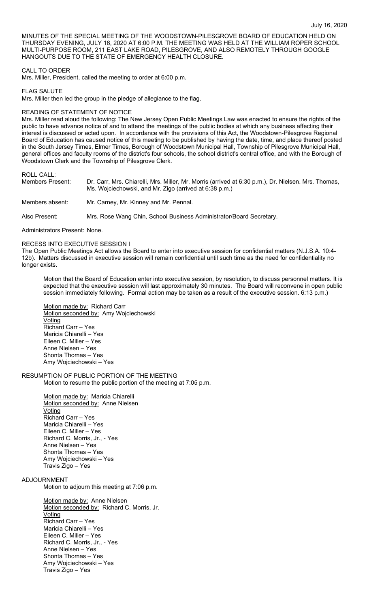MINUTES OF THE SPECIAL MEETING OF THE WOODSTOWN-PILESGROVE BOARD OF EDUCATION HELD ON THURSDAY EVENING, JULY 16, 2020 AT 6:00 P.M. THE MEETING WAS HELD AT THE WILLIAM ROPER SCHOOL MULTI-PURPOSE ROOM, 211 EAST LAKE ROAD, PILESGROVE, AND ALSO REMOTELY THROUGH GOOGLE HANGOUTS DUE TO THE STATE OF EMERGENCY HEALTH CLOSURE.

### CALL TO ORDER

Mrs. Miller, President, called the meeting to order at 6:00 p.m.

FLAG SALUTE Mrs. Miller then led the group in the pledge of allegiance to the flag.

## READING OF STATEMENT OF NOTICE

Mrs. Miller read aloud the following: The New Jersey Open Public Meetings Law was enacted to ensure the rights of the public to have advance notice of and to attend the meetings of the public bodies at which any business affecting their interest is discussed or acted upon. In accordance with the provisions of this Act, the Woodstown-Pilesgrove Regional Board of Education has caused notice of this meeting to be published by having the date, time, and place thereof posted in the South Jersey Times, Elmer Times, Borough of Woodstown Municipal Hall, Township of Pilesgrove Municipal Hall, general offices and faculty rooms of the district's four schools, the school district's central office, and with the Borough of Woodstown Clerk and the Township of Pilesgrove Clerk.

ROLL CALL:

| Members Present: | Dr. Carr, Mrs. Chiarelli, Mrs. Miller, Mr. Morris (arrived at 6:30 p.m.), Dr. Nielsen. Mrs. Thomas,<br>Ms. Wojciechowski, and Mr. Zigo (arrived at 6:38 p.m.) |
|------------------|---------------------------------------------------------------------------------------------------------------------------------------------------------------|
| Members absent:  | Mr. Carney, Mr. Kinney and Mr. Pennal.                                                                                                                        |
| Also Present:    | Mrs. Rose Wang Chin, School Business Administrator/Board Secretary.                                                                                           |

Administrators Present: None.

#### RECESS INTO EXECUTIVE SESSION I

The Open Public Meetings Act allows the Board to enter into executive session for confidential matters (N.J.S.A. 10:4- 12b). Matters discussed in executive session will remain confidential until such time as the need for confidentiality no longer exists.

Motion that the Board of Education enter into executive session, by resolution, to discuss personnel matters. It is expected that the executive session will last approximately 30 minutes. The Board will reconvene in open public session immediately following. Formal action may be taken as a result of the executive session. 6:13 p.m.)

Motion made by: Richard Carr Motion seconded by: Amy Wojciechowski Voting Richard Carr – Yes Maricia Chiarelli – Yes Eileen C. Miller – Yes Anne Nielsen – Yes Shonta Thomas – Yes Amy Wojciechowski – Yes

# RESUMPTION OF PUBLIC PORTION OF THE MEETING

Motion to resume the public portion of the meeting at 7:05 p.m.

Motion made by: Maricia Chiarelli Motion seconded by: Anne Nielsen **Voting** Richard Carr – Yes Maricia Chiarelli – Yes Eileen C. Miller – Yes Richard C. Morris, Jr., - Yes Anne Nielsen – Yes Shonta Thomas – Yes Amy Wojciechowski – Yes Travis Zigo – Yes

#### ADJOURNMENT

Motion to adjourn this meeting at 7:06 p.m.

Motion made by: Anne Nielsen Motion seconded by: Richard C. Morris, Jr. **Voting** Richard Carr – Yes Maricia Chiarelli – Yes Eileen C. Miller – Yes Richard C. Morris, Jr., - Yes Anne Nielsen – Yes Shonta Thomas – Yes Amy Wojciechowski – Yes Travis Zigo – Yes